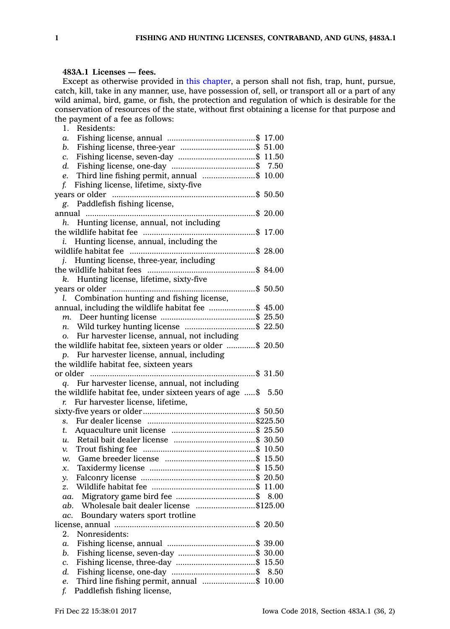## **483A.1 Licenses — fees.**

Except as otherwise provided in this [chapter](https://www.legis.iowa.gov/docs/code//483A.pdf), <sup>a</sup> person shall not fish, trap, hunt, pursue, catch, kill, take in any manner, use, have possession of, sell, or transport all or <sup>a</sup> part of any wild animal, bird, game, or fish, the protection and regulation of which is desirable for the conservation of resources of the state, without first obtaining <sup>a</sup> license for that purpose and the payment of <sup>a</sup> fee as follows:

| 1.<br>Residents:                                             |      |
|--------------------------------------------------------------|------|
| а.                                                           |      |
| b.                                                           |      |
| c.                                                           |      |
| d.                                                           |      |
| Third line fishing permit, annual \$ 10.00<br>e.             |      |
| Fishing license, lifetime, sixty-five<br>f.                  |      |
|                                                              |      |
| Paddlefish fishing license,<br>g.                            |      |
|                                                              |      |
| Hunting license, annual, not including<br>h.                 |      |
|                                                              |      |
| Hunting license, annual, including the<br>i.                 |      |
|                                                              |      |
| Hunting license, three-year, including<br>İ.                 |      |
|                                                              |      |
| k. Hunting license, lifetime, sixty-five                     |      |
|                                                              |      |
| Combination hunting and fishing license,<br>l.               |      |
| annual, including the wildlife habitat fee \$ 45.00          |      |
|                                                              |      |
| n. Wild turkey hunting license \$ 22.50                      |      |
| o. Fur harvester license, annual, not including              |      |
| the wildlife habitat fee, sixteen years or older \$ 20.50    |      |
| Fur harvester license, annual, including<br>p.               |      |
| the wildlife habitat fee, sixteen years                      |      |
|                                                              |      |
| q. Fur harvester license, annual, not including              |      |
| the wildlife habitat fee, under sixteen years of age \$ 5.50 |      |
| Fur harvester license, lifetime,<br>r.                       |      |
|                                                              |      |
| s.                                                           |      |
| t.                                                           |      |
| u.                                                           |      |
| v.                                                           |      |
| w.                                                           |      |
| x.                                                           |      |
| у.                                                           |      |
| z.                                                           |      |
| aa.                                                          |      |
| Wholesale bait dealer license \$125.00<br>ab.                |      |
| ac.                                                          |      |
| Boundary waters sport trotline                               |      |
| Nonresidents:<br>2.                                          |      |
| $\alpha$ .                                                   |      |
|                                                              |      |
| b.                                                           |      |
| c.<br>d.                                                     | 8.50 |
|                                                              |      |
| Third line fishing permit, annual \$ 10.00<br>e.             |      |
| f.<br>Paddlefish fishing license,                            |      |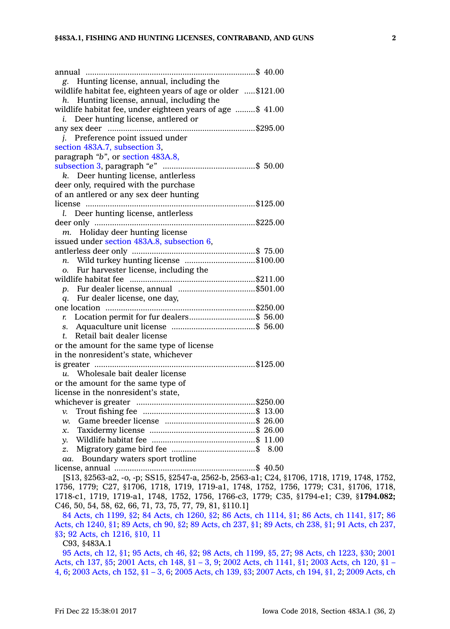| g. Hunting license, annual, including the                     |
|---------------------------------------------------------------|
| wildlife habitat fee, eighteen years of age or older \$121.00 |
| $h$ . Hunting license, annual, including the                  |
| wildlife habitat fee, under eighteen years of age \$ 41.00    |
| Deer hunting license, antlered or<br>i.                       |
|                                                               |
| j. Preference point issued under                              |
| section 483A.7, subsection 3,                                 |
| paragraph "b", or section 483A.8,                             |
|                                                               |
| k. Deer hunting license, antlerless                           |
| deer only, required with the purchase                         |
| of an antlered or any sex deer hunting                        |
|                                                               |
| Deer hunting license, antlerless<br>L                         |
|                                                               |
| m. Holiday deer hunting license                               |
| issued under section 483A.8, subsection 6,                    |
|                                                               |
| n. Wild turkey hunting license \$100.00                       |
| Fur harvester license, including the<br>Ο.                    |
|                                                               |
| p. Fur dealer license, annual \$501.00                        |
| q. Fur dealer license, one day,                               |
|                                                               |
| Location permit for fur dealers\$ 56.00<br>r.                 |
|                                                               |
| Retail bait dealer license<br>t.                              |
| or the amount for the same type of license                    |
| in the nonresident's state, whichever                         |
|                                                               |
| Wholesale bait dealer license<br>u.                           |
| or the amount for the same type of                            |
| license in the nonresident's state,                           |
|                                                               |
| v.                                                            |
| w.                                                            |
| x.                                                            |
| y.                                                            |
| z.                                                            |
| Boundary waters sport trotline<br>aa.                         |
|                                                               |

[S13, §2563-a2, -o, -p; SS15, §2547-a, 2562-b, 2563-a1; C24, §1706, 1718, 1719, 1748, 1752, 1756, 1779; C27, §1706, 1718, 1719, 1719-a1, 1748, 1752, 1756, 1779; C31, §1706, 1718, 1718-c1, 1719, 1719-a1, 1748, 1752, 1756, 1766-c3, 1779; C35, §1794-e1; C39, §**1794.082;** C46, 50, 54, 58, 62, 66, 71, 73, 75, 77, 79, 81, §110.1]

84 Acts, ch [1199,](https://www.legis.iowa.gov/docs/acts/84/CH1199.pdf) §2; 84 Acts, ch [1260,](https://www.legis.iowa.gov/docs/acts/84/CH1260.pdf) §2; 86 Acts, ch [1114,](https://www.legis.iowa.gov/docs/acts/86/CH1114.pdf) §1; 86 Acts, ch [1141,](https://www.legis.iowa.gov/docs/acts/86/CH1141.pdf) §17; [86](https://www.legis.iowa.gov/docs/acts/86/CH1240.pdf) Acts, ch [1240,](https://www.legis.iowa.gov/docs/acts/86/CH1240.pdf) §1; 89 [Acts,](https://www.legis.iowa.gov/docs/acts/89/CH0090.pdf) ch 90, §2; 89 [Acts,](https://www.legis.iowa.gov/docs/acts/89/CH0237.pdf) ch 237, §1; 89 [Acts,](https://www.legis.iowa.gov/docs/acts/89/CH0238.pdf) ch 238, §1; 91 [Acts,](https://www.legis.iowa.gov/docs/acts/91/CH0237.pdf) ch 237, [§3](https://www.legis.iowa.gov/docs/acts/91/CH0237.pdf); 92 Acts, ch [1216,](https://www.legis.iowa.gov/docs/acts/92/CH1216.pdf) §10, 11

C93, §483A.1

95 [Acts,](https://www.legis.iowa.gov/docs/acts/95/CH0012.pdf) ch 12, §1; 95 [Acts,](https://www.legis.iowa.gov/docs/acts/95/CH0046.pdf) ch 46, §2; 98 Acts, ch [1199,](https://www.legis.iowa.gov/docs/acts/98/CH1199.pdf) §5, 27; 98 Acts, ch [1223,](https://www.legis.iowa.gov/docs/acts/98/CH1223.pdf) §30; [2001](https://www.legis.iowa.gov/docs/acts/2001/CH0137.pdf) [Acts,](https://www.legis.iowa.gov/docs/acts/2001/CH0137.pdf) ch 137, §5; 2001 [Acts,](https://www.legis.iowa.gov/docs/acts/2001/CH0148.pdf) ch 148, §1 – 3, 9; 2002 Acts, ch [1141,](https://www.legis.iowa.gov/docs/acts/2002/CH1141.pdf) §1; 2003 [Acts,](https://www.legis.iowa.gov/docs/acts/2003/CH0120.pdf) ch 120, §1 – [4,](https://www.legis.iowa.gov/docs/acts/2003/CH0120.pdf) 6; 2003 [Acts,](https://www.legis.iowa.gov/docs/acts/2003/CH0152.pdf) ch 152, §1 – 3, 6; 2005 [Acts,](https://www.legis.iowa.gov/docs/acts/2005/CH0139.pdf) ch 139, §3; 2007 [Acts,](https://www.legis.iowa.gov/docs/acts/2007/CH0194.pdf) ch 194, §1, 2; 2009 [Acts,](https://www.legis.iowa.gov/docs/acts/2009/CH0144.pdf) ch